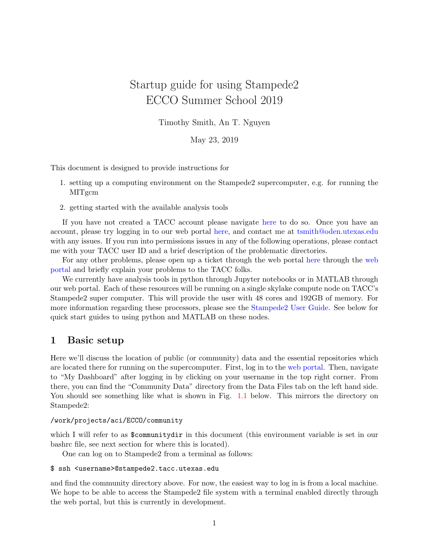# Startup guide for using Stampede2 ECCO Summer School 2019

Timothy Smith, An T. Nguyen

May 23, 2019

This document is designed to provide instructions for

- 1. setting up a computing environment on the Stampede2 supercomputer, e.g. for running the MITgcm
- 2. getting started with the available analysis tools

If you have not created a TACC account please navigate [here](https://portal.tacc.utexas.edu/account-request) to do so. Once you have an account, please try logging in to our web portal [here,](https://ecco.tacc.utexas.edu/accounts/login) and contact me at [tsmith@oden.utexas.edu](mailto:tsmith@oden.utexas.edu) with any issues. If you run into permissions issues in any of the following operations, please contact me with your TACC user ID and a brief description of the problematic directories.

For any other problems, please open up a ticket through the web portal [here](https://ecco.tacc.utexas.edu/tickets/ticket/new/) through the [web](https://ecco.tacc.utexas.edu) [portal](https://ecco.tacc.utexas.edu) and briefly explain your problems to the TACC folks.

We currently have analysis tools in python through Jupyter notebooks or in MATLAB through our web portal. Each of these resources will be running on a single skylake compute node on TACC's Stampede2 super computer. This will provide the user with 48 cores and 192GB of memory. For more information regarding these processors, please see the [Stampede2 User Guide.](https://portal.tacc.utexas.edu/user-guides/stampede2) See below for quick start guides to using python and MATLAB on these nodes.

## 1 Basic setup

Here we'll discuss the location of public (or community) data and the essential repositories which are located there for running on the supercomputer. First, log in to the [web portal.](https://ecco.tacc.utexas.edu) Then, navigate to "My Dashboard" after logging in by clicking on your username in the top right corner. From there, you can find the "Community Data" directory from the Data Files tab on the left hand side. You should see something like what is shown in Fig. [1.1](#page-1-0) below. This mirrors the directory on Stampede2:

#### /work/projects/aci/ECCO/community

which I will refer to as \$communitydir in this document (this environment variable is set in our bashrc file, see next section for where this is located).

One can log on to Stampede2 from a terminal as follows:

```
$ ssh <username>@stampede2.tacc.utexas.edu
```
and find the community directory above. For now, the easiest way to log in is from a local machine. We hope to be able to access the Stampede2 file system with a terminal enabled directly through the web portal, but this is currently in development.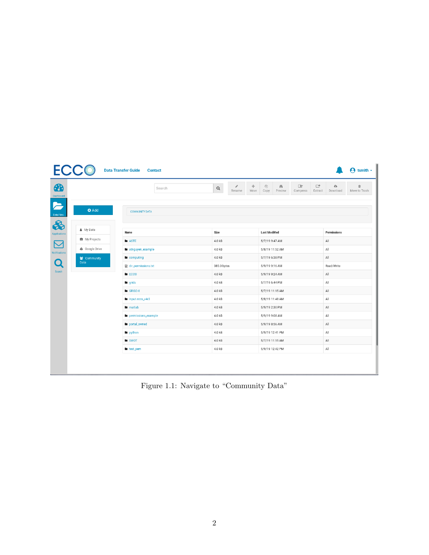<span id="page-1-0"></span>

|                                                  |                     | <b>Data Transfer Guide</b> | <b>Contact</b> |             |             |                |                       |                         |                          |              |                            | $\Theta$ tsmith $\sim$ |
|--------------------------------------------------|---------------------|----------------------------|----------------|-------------|-------------|----------------|-----------------------|-------------------------|--------------------------|--------------|----------------------------|------------------------|
| $\bigcirc$                                       |                     |                            | Search         | $\mathsf Q$ | P<br>Rename | $\div$<br>Move | $\mathcal{P}$<br>Copy | $\mathbf{r}$<br>Preview | $\mathbb{R}$<br>Compress | ₫<br>Extract | $\mathfrak{S}$<br>Download | 面<br>Move to Trash     |
| Dashboard<br>$\blacktriangleright$<br>Data Files | <b>O</b> Add        | <b>COMMUNITY DATA</b>      |                |             |             |                |                       |                         |                          |              |                            |                        |
| 8<br><b>Applications</b>                         | & My Data           | Name                       |                | Size        |             |                | <b>Last Modified</b>  |                         |                          |              | Permissions                |                        |
| $\overline{\mathbf{C}}$                          | My Projects         | <b>B</b> ASTE              |                | 4.0 kB      |             |                | 5/7/19 9:47 AM        |                         |                          |              | $\mathsf{All}$             |                        |
| <b>Notifications</b>                             | ▲ Google Drive      | atnguyen_example           |                | 4.0 kB      |             |                | 5/8/19 11:52 AM       |                         |                          |              | All                        |                        |
|                                                  | 警 Community<br>Data | <b>la</b> computing        |                | 4.0 kB      |             |                | 5/7/19 6:38 PM        |                         | All                      |              |                            |                        |
| Search                                           |                     | dir_permissions.txt        |                | 385.0 bytes |             |                | 5/9/19 9:16 AM        |                         |                          |              | Read/Write                 |                        |
|                                                  |                     | ECCO                       |                | 4.0 kB      |             |                | 5/9/19 9:24 AM        |                         |                          |              | All                        |                        |
|                                                  |                     | <b>la</b> grids            |                | 4.0 kB      |             |                | 5/7/19 6:44 PM        |                         |                          |              | All                        |                        |
|                                                  |                     | <b>B</b> GRISO-X           |                | 4.0 kB      |             |                | 5/7/19 11:15 AM       |                         |                          |              | $\mathsf{All}$             |                        |
|                                                  |                     | Input.ecco_v4r3            |                | 4.0 kB      |             |                | 5/8/19 11:48 AM       |                         |                          |              | $\mathsf{All}$             |                        |
|                                                  |                     | <b>la</b> matlab           |                | 4.0 kB      |             |                | 5/9/19 2:30 PM        |                         |                          |              | All                        |                        |
|                                                  |                     | permissions_example        |                | 4.0 kB      |             |                | 5/9/19 9:08 AM        |                         |                          |              | $\mathsf{All}$             |                        |
|                                                  |                     | <b>n</b> portal_owned      |                | 4.0 kB      |             |                | 5/9/19 8:56 AM        |                         |                          |              | $\mathsf{All}$             |                        |
|                                                  |                     | <b>la</b> python           |                | 4.0 kB      |             |                | 5/9/19 12:41 PM       |                         |                          |              | All                        |                        |
|                                                  |                     | <b>SWOT</b>                |                | 4.0 kB      |             |                | 5/7/19 11:15 AM       |                         |                          |              | All                        |                        |
|                                                  |                     | <b>la</b> test_pem         |                | 4.0 kB      |             |                | 5/9/19 12:42 PM       |                         |                          |              | $\mathsf{All}$             |                        |
|                                                  |                     |                            |                |             |             |                |                       |                         |                          |              |                            |                        |

Figure 1.1: Navigate to "Community Data"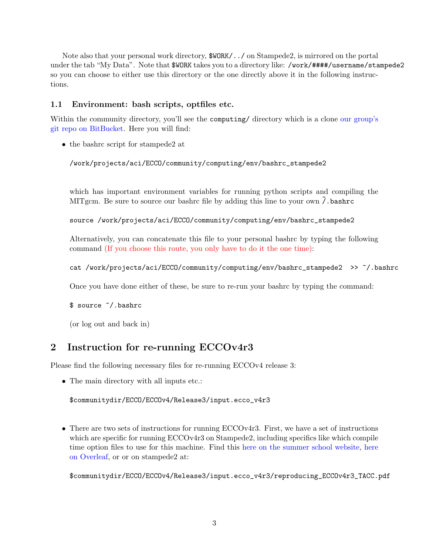Note also that your personal work directory, \$WORK/../ on Stampede2, is mirrored on the portal under the tab "My Data". Note that \$WORK takes you to a directory like: /work/####/username/stampede2 so you can choose to either use this directory or the one directly above it in the following instructions.

## 1.1 Environment: bash scripts, optfiles etc.

Within the community directory, you'll see the computing/ directory which is a clone [our group's](https://bitbucket.org/crios-ices/computing/src/master/) [git repo on BitBucket.](https://bitbucket.org/crios-ices/computing/src/master/) Here you will find:

• the bashrc script for stampede2 at

/work/projects/aci/ECCO/community/computing/env/bashrc\_stampede2

which has important environment variables for running python scripts and compiling the MITgcm. Be sure to source our bashrc file by adding this line to your own  $\tilde{\prime}$ . bashrc

source /work/projects/aci/ECCO/community/computing/env/bashrc\_stampede2

Alternatively, you can concatenate this file to your personal bashrc by typing the following command (If you choose this route, you only have to do it the one time):

```
cat /work/projects/aci/ECCO/community/computing/env/bashrc_stampede2 >> ~/.bashrc
```
Once you have done either of these, be sure to re-run your bashrc by typing the command:

\$ source ~/.bashrc

(or log out and back in)

# 2 Instruction for re-running ECCOv4r3

Please find the following necessary files for re-running ECCOv4 release 3:

• The main directory with all inputs etc.:

\$communitydir/ECCO/ECCOv4/Release3/input.ecco\_v4r3

• There are two sets of instructions for running ECCOv4r3. First, we have a set of instructions which are specific for running ECCOv4r3 on Stampede2, including specifics like which compile time option files to use for this machine. Find this [here on the summer school website,](https://www.eccosummerschool.org/resources) [here](https://www.overleaf.com/read/jchwpppnmnps) [on Overleaf,](https://www.overleaf.com/read/jchwpppnmnps) or or on stampede2 at:

\$communitydir/ECCO/ECCOv4/Release3/input.ecco\_v4r3/reproducing\_ECCOv4r3\_TACC.pdf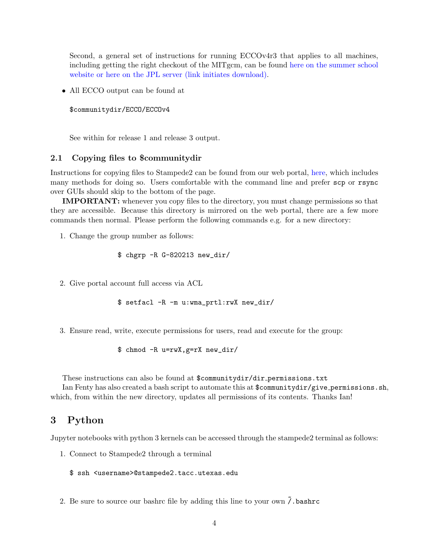Second, a general set of instructions for running ECCOv4r3 that applies to all machines, including getting the right checkout of the MITgcm, can be found [here on the summer school](https://www.eccosummerschool.org/resources) [website](https://www.eccosummerschool.org/resources) [or here on the JPL server \(link initiates download\).](ftp://ecco.jpl.nasa.gov/Version4/Release3/doc/ECCOv4r3_reproduction.pdf)

• All ECCO output can be found at

```
$communitydir/ECCO/ECCOv4
```
See within for release 1 and release 3 output.

#### 2.1 Copying files to \$communitydir

Instructions for copying files to Stampede2 can be found from our web portal, [here,](https://ecco.tacc.utexas.edu/data-transfer-guide/) which includes many methods for doing so. Users comfortable with the command line and prefer scp or rsync over GUIs should skip to the bottom of the page.

IMPORTANT: whenever you copy files to the directory, you must change permissions so that they are accessible. Because this directory is mirrored on the web portal, there are a few more commands then normal. Please perform the following commands e.g. for a new directory:

1. Change the group number as follows:

```
$ chgrp -R G-820213 new_dir/
```
2. Give portal account full access via ACL

```
$ setfacl -R -m u:wma_prtl:rwX new_dir/
```
3. Ensure read, write, execute permissions for users, read and execute for the group:

\$ chmod -R u=rwX,g=rX new\_dir/

These instructions can also be found at \$communitydir/dir\_permissions.txt

Ian Fenty has also created a bash script to automate this at  $\mathcal{S}$ communitydir/give permissions.sh, which, from within the new directory, updates all permissions of its contents. Thanks Ian!

## 3 Python

Jupyter notebooks with python 3 kernels can be accessed through the stampede2 terminal as follows:

1. Connect to Stampede2 through a terminal

```
$ ssh <username>@stampede2.tacc.utexas.edu
```
2. Be sure to source our bashrc file by adding this line to your own  $\tilde{\prime}$ . bashrc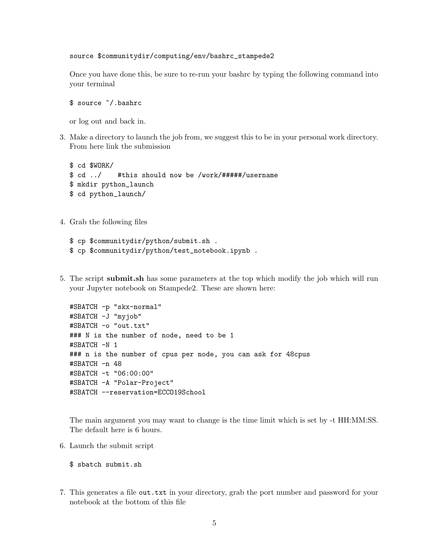source \$communitydir/computing/env/bashrc\_stampede2

Once you have done this, be sure to re-run your bashrc by typing the following command into your terminal

\$ source ~/.bashrc

or log out and back in.

3. Make a directory to launch the job from, we suggest this to be in your personal work directory. From here link the submission

```
$ cd $WORK/
$ cd ../ #this should now be /work/#####/username
$ mkdir python_launch
$ cd python_launch/
```
4. Grab the following files

```
$ cp $communitydir/python/submit.sh .
$ cp $communitydir/python/test_notebook.ipynb .
```
5. The script submit.sh has some parameters at the top which modify the job which will run your Jupyter notebook on Stampede2. These are shown here:

```
#SBATCH -p "skx-normal"
#SBATCH -J "myjob"
#SBATCH -o "out.txt"
### N is the number of node, need to be 1
#SBATCH -N 1
### n is the number of cpus per node, you can ask for 48cpus
#SBATCH -n 48
#SBATCH -t "06:00:00"
#SBATCH -A "Polar-Project"
#SBATCH --reservation=ECCO19School
```
The main argument you may want to change is the time limit which is set by -t HH:MM:SS. The default here is 6 hours.

6. Launch the submit script

\$ sbatch submit.sh

7. This generates a file out.txt in your directory, grab the port number and password for your notebook at the bottom of this file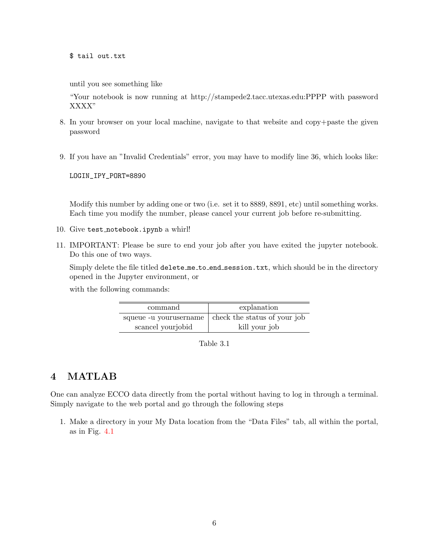\$ tail out.txt

until you see something like

"Your notebook is now running at http://stampede2.tacc.utexas.edu:PPPP with password XXXX"

- 8. In your browser on your local machine, navigate to that website and copy+paste the given password
- 9. If you have an "Invalid Credentials" error, you may have to modify line 36, which looks like:

LOGIN\_IPY\_PORT=8890

Modify this number by adding one or two (i.e. set it to 8889, 8891, etc) until something works. Each time you modify the number, please cancel your current job before re-submitting.

- 10. Give test notebook.ipynb a whirl!
- 11. IMPORTANT: Please be sure to end your job after you have exited the jupyter notebook. Do this one of two ways.

Simply delete the file titled delete me to end session.txt, which should be in the directory opened in the Jupyter environment, or

with the following commands:

| command                | explanation                  |
|------------------------|------------------------------|
| squeue -u yourusername | check the status of your job |
| scancel yourjobid      | kill your job                |

Table 3.1

# 4 MATLAB

One can analyze ECCO data directly from the portal without having to log in through a terminal. Simply navigate to the web portal and go through the following steps

1. Make a directory in your My Data location from the "Data Files" tab, all within the portal, as in Fig. [4.1](#page-6-0)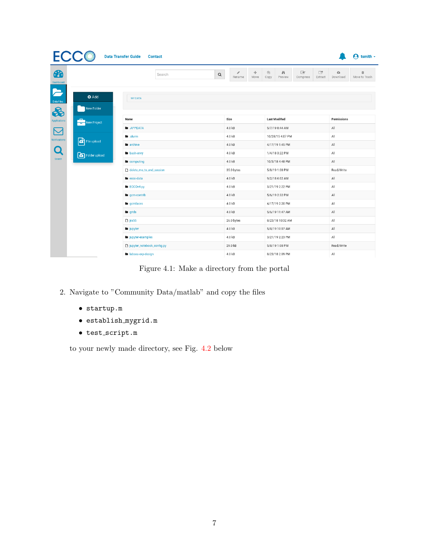<span id="page-6-0"></span>

|                                    |                              | <b>Data Transfer Guide</b><br><b>Contact</b> |        |             |                      |                |                                  |                         |                          |                       |                       | tsmith $\sim$<br>A |
|------------------------------------|------------------------------|----------------------------------------------|--------|-------------|----------------------|----------------|----------------------------------|-------------------------|--------------------------|-----------------------|-----------------------|--------------------|
| <b>PD</b><br><b>Dashboard</b>      |                              |                                              | Search | $\mathsf Q$ | P<br>Rename          | $\div$<br>Move | 2<br>Copy                        | $\mathsf{M}$<br>Preview | $\mathbb{R}$<br>Compress | $\Box$<br>Extract     | $\alpha$<br>Download  | 亩<br>Move to Trash |
| E<br>Data Files                    | <b>O</b> Add                 | <b>MY DATA</b>                               |        |             |                      |                |                                  |                         |                          |                       |                       |                    |
| $\clubsuit$<br><b>Applications</b> | New Folder<br>New Project    | Name                                         |        |             | Size                 |                |                                  | <b>Last Modified</b>    |                          |                       | Permissions           |                    |
| $\boxtimes$                        |                              | <b>M</b> APPDATA                             |        |             | 4.0 kB               |                |                                  | 5/7/19 8:44 AM          |                          |                       | All                   |                    |
| <b>Notifications</b>               |                              | <b>In</b> .slurm                             |        |             | 4.0 kB               |                |                                  | 10/28/15 4:07 PM        |                          |                       | All                   |                    |
|                                    | File upload<br>Folder upload | <b>la</b> archive                            |        |             | 4.0 kB               |                |                                  | 4/17/19 1:45 PM         |                          |                       | All                   |                    |
| $\mathbf O$                        |                              | <b>b</b> bash-envy                           |        |             | 4.0 kB               |                |                                  | 1/4/18 3:22 PM          |                          |                       | All                   |                    |
| <b>Search</b>                      |                              | <b>la</b> computing                          |        |             | 4.0 kB               |                | 10/3/18 4:48 PM                  |                         |                          |                       | All                   |                    |
|                                    |                              | delete_me_to_end_session                     |        |             | 35.0 bytes<br>4.0 kB |                | 5/8/19 1:08 PM<br>9/2/18 6:02 AM |                         |                          |                       | Read/Write            |                    |
|                                    |                              | <b>la</b> ecco-data                          |        |             |                      |                |                                  |                         |                          | $\mathsf{All}\xspace$ |                       |                    |
|                                    |                              | <b>ECCOv4-py</b>                             |        |             | 4.0 kB               |                |                                  | 3/21/19 2:22 PM         |                          |                       | All                   |                    |
|                                    |                              | <b>n</b> gcm-contrib                         |        |             | 4.0 kB               |                |                                  | 5/6/19 2:32 PM          |                          |                       | All                   |                    |
|                                    |                              | <b>la</b> gomfaces                           |        |             | 4.0 kB               |                |                                  | 4/17/19 2:20 PM         |                          |                       | All                   |                    |
|                                    |                              | <b>la</b> grids                              |        |             | 4.0 kB               |                |                                  | 5/6/19 11:47 AM         |                          |                       | $\mathsf{All}\xspace$ |                    |
|                                    |                              | $ra$ jra55                                   |        |             | 26.0 bytes           |                |                                  | 8/23/18 10:32 AM        |                          |                       | All                   |                    |
|                                    |                              | la jupyter                                   |        |             | 4.0 kB               |                |                                  | 5/8/19 10:07 AM         |                          |                       | All                   |                    |
|                                    |                              | lupyter-examples                             |        |             | 4.0 kB               |                |                                  | 3/21/19 2:23 PM         |                          |                       | All                   |                    |
|                                    |                              | jupyter_notebook_config.py                   |        |             | 29.0 kB              |                |                                  | 5/8/19 1:08 PM          |                          |                       | Read/Write            |                    |
|                                    |                              | labsea-exp-design                            |        |             | 4.0 kB               |                |                                  | 8/23/18 2:09 PM         |                          |                       | All                   |                    |

Figure 4.1: Make a directory from the portal

- 2. Navigate to "Community Data/matlab" and copy the files
	- startup.m
	- establish mygrid.m
	- $\bullet\texttt{ test\_script.m}$

to your newly made directory, see Fig. [4.2](#page-7-0) below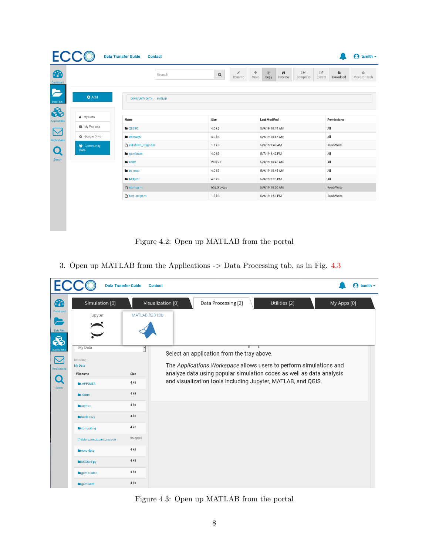<span id="page-7-0"></span>

|                | Search                  | ℐ<br>$\hbox{\tt Q}$<br>Rename | ñ<br>பி<br>$+ \hspace{-1.0cm} \cdot \hspace{1.0cm} \cdot \hspace{1.0cm} \cdot \hspace{1.0cm} \cdot \hspace{1.0cm} \cdot \hspace{1.0cm}$<br>Move<br>Copy<br>Preview | $\overline{\mathcal{M}}$<br>$\Box$<br>$\bullet$<br>面<br>Download<br>Extract<br>Move to Trash<br>Compress |
|----------------|-------------------------|-------------------------------|--------------------------------------------------------------------------------------------------------------------------------------------------------------------|----------------------------------------------------------------------------------------------------------|
| <b>O</b> Add   | COMMUNITY DATA / MATLAB |                               |                                                                                                                                                                    |                                                                                                          |
| & My Data      | Name                    | Size                          | <b>Last Modified</b>                                                                                                                                               | Permissions                                                                                              |
| My Projects    | <b>B</b> 28790          | 4.0 kB                        | 5/9/19 10:49 AM                                                                                                                                                    | All                                                                                                      |
| ▲ Google Drive | <b>b</b> cbrewer2       | 4.0 kB                        | 5/9/19 10:47 AM                                                                                                                                                    | All                                                                                                      |
| 警 Community    | establish_mygrid.m      | 1.1 kB                        | 5/9/19 9:48 AM                                                                                                                                                     | Read/Write                                                                                               |
| Data           | <b>la</b> gomfaces      | 4.0 kB                        | 5/7/19 6:42 PM                                                                                                                                                     | All                                                                                                      |
|                | <b>L</b> GSW            | 28.0 kB                       | 5/9/19 10:46 AM                                                                                                                                                    | All                                                                                                      |
|                | <b>la</b> m_map         | 4.0 kB                        | 5/9/19 10:45 AM                                                                                                                                                    | All                                                                                                      |
|                | <b>In</b> MITprof       | 4.0 kB                        | 5/9/19 2:30 PM                                                                                                                                                     | All                                                                                                      |
|                | $\Box$ startup.m        | 652.0 bytes                   | 5/9/19 10:50 AM                                                                                                                                                    | Read/Write                                                                                               |
|                | test_script.m           | 1.3 kB                        | 5/9/19 1:51 PM                                                                                                                                                     | Read/Write                                                                                               |

Figure 4.2: Open up MATLAB from the portal

3. Open up MATLAB from the Applications -> Data Processing tab, as in Fig. [4.3](#page-7-1)

<span id="page-7-1"></span>

Figure 4.3: Open up MATLAB from the portal